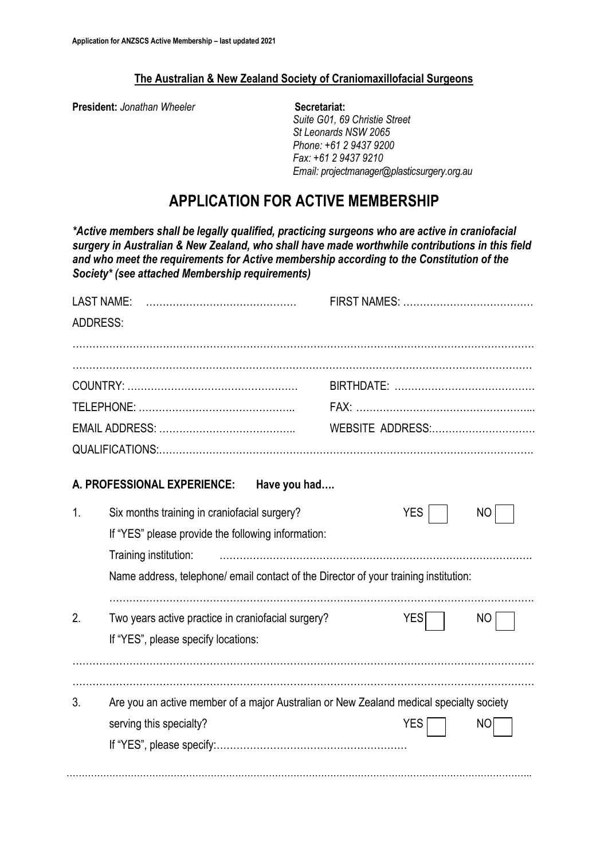## **The Australian & New Zealand Society of Craniomaxillofacial Surgeons**

**President:** *Jonathan Wheeler* **Secretariat:** 

*Suite G01, 69 Christie Street St Leonards NSW 2065 Phone: +61 2 9437 9200 Fax: +61 2 9437 9210 Email: projectmanager@plasticsurgery.org.au*

# **APPLICATION FOR ACTIVE MEMBERSHIP**

*\*Active members shall be legally qualified, practicing surgeons who are active in craniofacial surgery in Australian & New Zealand, who shall have made worthwhile contributions in this field and who meet the requirements for Active membership according to the Constitution of the Society\* (see attached Membership requirements)*

| <b>LAST NAME:</b> |                                                                                         |                   |  |
|-------------------|-----------------------------------------------------------------------------------------|-------------------|--|
| <b>ADDRESS:</b>   |                                                                                         |                   |  |
|                   |                                                                                         |                   |  |
|                   |                                                                                         |                   |  |
|                   |                                                                                         |                   |  |
|                   |                                                                                         |                   |  |
|                   |                                                                                         | WEBSITE ADDRESS:  |  |
|                   |                                                                                         |                   |  |
|                   |                                                                                         |                   |  |
|                   | A. PROFESSIONAL EXPERIENCE:<br>Have you had                                             |                   |  |
| 1.                | Six months training in craniofacial surgery?                                            | <b>YES</b><br>NO  |  |
|                   | If "YES" please provide the following information:                                      |                   |  |
|                   | Training institution:                                                                   |                   |  |
|                   | Name address, telephone/ email contact of the Director of your training institution:    |                   |  |
|                   |                                                                                         |                   |  |
| 2.                | Two years active practice in craniofacial surgery?                                      | <b>YES</b><br>NO. |  |
|                   | If "YES", please specify locations:                                                     |                   |  |
|                   |                                                                                         |                   |  |
|                   |                                                                                         |                   |  |
| 3.                | Are you an active member of a major Australian or New Zealand medical specialty society |                   |  |
|                   | serving this specialty?                                                                 | <b>YES</b><br>NO  |  |
|                   |                                                                                         |                   |  |
|                   |                                                                                         |                   |  |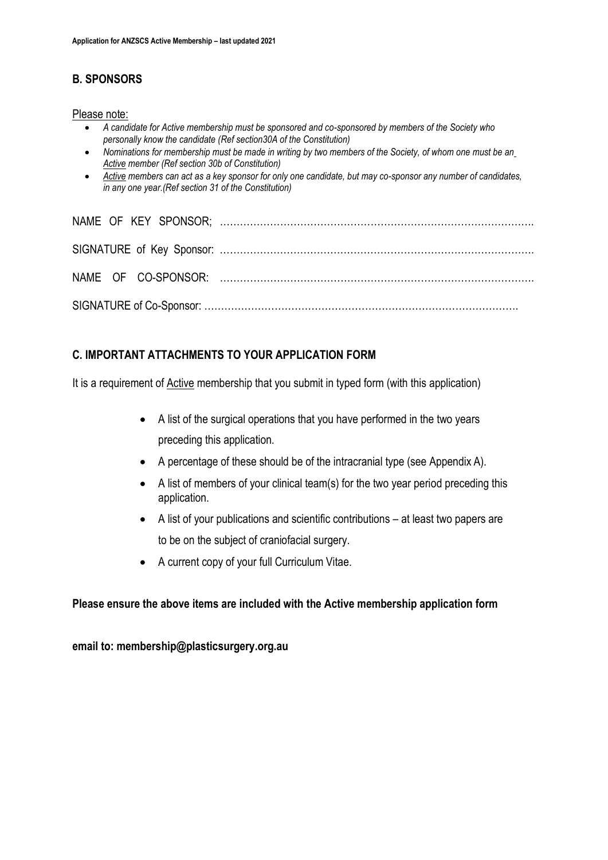## **B. SPONSORS**

#### Please note:

- *A candidate for Active membership must be sponsored and co-sponsored by members of the Society who personally know the candidate (Ref section30A of the Constitution)*
- *Nominations for membership must be made in writing by two members of the Society, of whom one must be an Active member (Ref section 30b of Constitution)*
- *Active members can act as a key sponsor for only one candidate, but may co-sponsor any number of candidates, in any one year.(Ref section 31 of the Constitution)*

## **C. IMPORTANT ATTACHMENTS TO YOUR APPLICATION FORM**

It is a requirement of **Active** membership that you submit in typed form (with this application)

- A list of the surgical operations that you have performed in the two years preceding this application.
- A percentage of these should be of the intracranial type (see Appendix A).
- A list of members of your clinical team(s) for the two year period preceding this application.
- A list of your publications and scientific contributions at least two papers are to be on the subject of craniofacial surgery.
- A current copy of your full Curriculum Vitae.

## **Please ensure the above items are included with the Active membership application form**

**email to: membership@plasticsurgery.org.au**